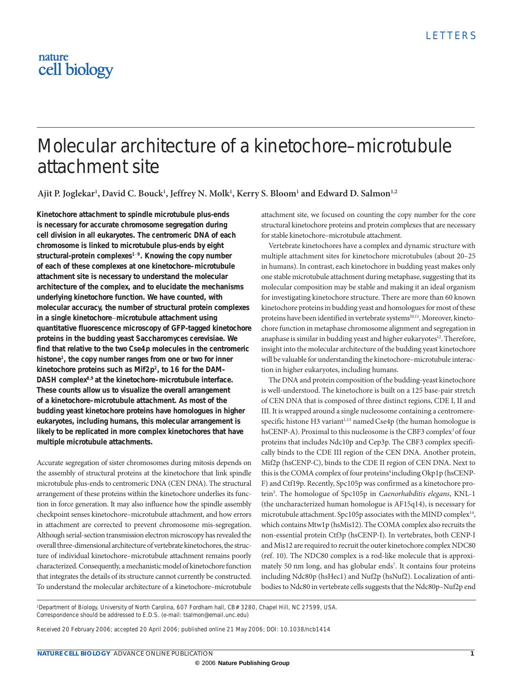# nature cell biology

# Molecular architecture of a kinetochore–microtubule attachment site

Ajit P. Joglekar<sup>1</sup>, David C. Bouck<sup>1</sup>, Jeffrey N. Molk<sup>1</sup>, Kerry S. Bloom<sup>1</sup> and Edward D. Salmon<sup>1,2</sup>

**Kinetochore attachment to spindle microtubule plus-ends is necessary for accurate chromosome segregation during cell division in all eukaryotes. The centromeric DNA of each chromosome is linked to microtubule plus-ends by eight structural-protein complexes1**−**9. Knowing the copy number of each of these complexes at one kinetochore–microtubule attachment site is necessary to understand the molecular architecture of the complex, and to elucidate the mechanisms underlying kinetochore function. We have counted, with molecular accuracy, the number of structural protein complexes in a single kinetochore**−**microtubule attachment using quantitative fluorescence microscopy of GFP-tagged kinetochore proteins in the budding yeast** *Saccharomyces cerevisiae***. We find that relative to the two Cse4p molecules in the centromeric histone1, the copy number ranges from one or two for inner kinetochore proteins such as Mif2p2, to 16 for the DAM– DASH complex8,9 at the kinetochore–microtubule interface. These counts allow us to visualize the overall arrangement of a kinetochore–microtubule attachment. As most of the budding yeast kinetochore proteins have homologues in higher eukaryotes, including humans, this molecular arrangement is likely to be replicated in more complex kinetochores that have multiple microtubule attachments.**

Accurate segregation of sister chromosomes during mitosis depends on the assembly of structural proteins at the kinetochore that link spindle microtubule plus-ends to centromeric DNA (CEN DNA). The structural arrangement of these proteins within the kinetochore underlies its function in force generation. It may also influence how the spindle assembly checkpoint senses kinetochore–microtubule attachment, and how errors in attachment are corrected to prevent chromosome mis-segregation. Although serial-section transmission electron microscopy has revealed the overall three-dimensional architecture of vertebrate kinetochores, the structure of individual kinetochore–microtubule attachment remains poorly characterized. Consequently, a mechanistic model of kinetochore function that integrates the details of its structure cannot currently be constructed. To understand the molecular architecture of a kinetochore–microtubule

attachment site, we focused on counting the copy number for the core structural kinetochore proteins and protein complexes that are necessary for stable kinetochore–microtubule attachment.

Vertebrate kinetochores have a complex and dynamic structure with multiple attachment sites for kinetochore microtubules (about 20–25 in humans). In contrast, each kinetochore in budding yeast makes only one stable microtubule attachment during metaphase, suggesting that its molecular composition may be stable and making it an ideal organism for investigating kinetochore structure. There are more than 60 known kinetochore proteins in budding yeast and homologues for most of these proteins have been identified in vertebrate systems<sup>10,11</sup>. Moreover, kinetochore function in metaphase chromosome alignment and segregation in anaphase is similar in budding yeast and higher eukaryotes<sup>12</sup>. Therefore, insight into the molecular architecture of the budding yeast kinetochore will be valuable for understanding the kinetochore–microtubule interaction in higher eukaryotes, including humans.

The DNA and protein composition of the budding-yeast kinetochore is well-understood. The kinetochore is built on a 125 base-pair stretch of CEN DNA that is composed of three distinct regions, CDE I, II and III. It is wrapped around a single nucleosome containing a centromerespecific histone H3 variant<sup>1,13</sup> named Cse4p (the human homologue is hsCENP-A). Proximal to this nucleosome is the CBF3 complex<sup>3</sup> of four proteins that includes Ndc10p and Cep3p. The CBF3 complex specifically binds to the CDE III region of the CEN DNA. Another protein, Mif2p (hsCENP-C), binds to the CDE II region of CEN DNA. Next to this is the COMA complex of four proteins<sup>4</sup> including Okp1p (hsCENP-F) and Ctf19p. Recently, Spc105p was confirmed as a kinetochore protein5 . The homologue of Spc105p in *Caenorhabditis elegans*, KNL-1 (the uncharacterized human homologue is AF15q14), is necessary for microtubule attachment. Spc105p associates with the MIND complex<sup>14</sup>, which contains Mtw1p (hsMis12). The COMA complex also recruits the non-essential protein Ctf3p (hsCENP-I). In vertebrates, both CENP-I and Mis12 are required to recruit the outer kinetochore complex NDC80 (ref. 10). The NDC80 complex is a rod-like molecule that is approximately 50 nm long, and has globular ends<sup>7</sup>. It contains four proteins including Ndc80p (hsHec1) and Nuf2p (hsNuf2). Localization of antibodies to Ndc80 in vertebrate cells suggests that the Ndc80p–Nuf2p end

<sup>1</sup>Department of Biology, University of North Carolina, 607 Fordham hall, CB# 3280, Chapel Hill, NC 27599, USA. Correspondence should be addressed to E.D.S. (e-mail: tsalmon@email.unc.edu)

Received 20 February 2006; accepted 20 April 2006; published online 21 May 2006; DOI: 10.1038/ncb1414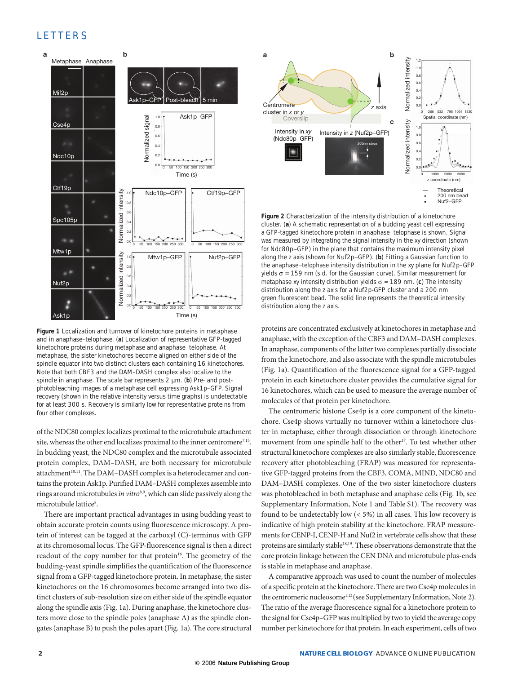## **LETTERS**



**Figure 1** Localization and turnover of kinetochore proteins in metaphase and in anaphase–telophase. (**a**) Localization of representative GFP-tagged kinetochore proteins during metaphase and anaphase−telophase. At metaphase, the sister kinetochores become aligned on either side of the spindle equator into two distinct clusters each containing 16 kinetochores. Note that both CBF3 and the DAM–DASH complex also localize to the spindle in anaphase. The scale bar represents 2 µm. (**b**) Pre- and postphotobleaching images of a metaphase cell expressing Ask1p–GFP. Signal recovery (shown in the relative intensity versus time graphs) is undetectable for at least 300 s. Recovery is similarly low for representative proteins from four other complexes.

of the NDC80 complex localizes proximal to the microtubule attachment site, whereas the other end localizes proximal to the inner centromere<sup>7,15</sup>. In budding yeast, the NDC80 complex and the microtubule associated protein complex, DAM–DASH, are both necessary for microtubule attachment<sup>10,11</sup>. The DAM–DASH complex is a heterodecamer and contains the protein Ask1p. Purified DAM–DASH complexes assemble into rings around microtubules *in vitro*8,9, which can slide passively along the microtubule lattice<sup>8</sup>.

There are important practical advantages in using budding yeast to obtain accurate protein counts using fluorescence microscopy. A protein of interest can be tagged at the carboxyl (C)-terminus with GFP at its chromosomal locus. The GFP-fluorescence signal is then a direct readout of the copy number for that protein<sup>16</sup>. The geometry of the budding-yeast spindle simplifies the quantification of the fluorescence signal from a GFP-tagged kinetochore protein. In metaphase, the sister kinetochores on the 16 chromosomes become arranged into two distinct clusters of sub-resolution size on either side of the spindle equator along the spindle axis (Fig. 1a). During anaphase, the kinetochore clusters move close to the spindle poles (anaphase A) as the spindle elongates (anaphase B) to push the poles apart (Fig. 1a). The core structural



**Figure 2** Characterization of the intensity distribution of a kinetochore cluster. (**a**) A schematic representation of a budding yeast cell expressing a GFP-tagged kinetochore protein in anaphase−telophase is shown. Signal was measured by integrating the signal intensity in the *xy* direction (shown for Ndc80p−GFP) in the plane that contains the maximum intensity pixel along the *z* axis (shown for Nuf2p−GFP). (**b**) Fitting a Gaussian function to the anaphase−telophase intensity distribution in the *xy* plane for Nuf2p–GFP yields  $σ = 159$  nm (s.d. for the Gaussian curve). Similar measurement for metaphase *xy* intensity distribution yields σ = 189 nm. (**c**) The intensity distribution along the *z* axis for a Nuf2p-GFP cluster and a 200 nm green fluorescent bead. The solid line represents the theoretical intensity distribution along the *z* axis.

proteins are concentrated exclusively at kinetochores in metaphase and anaphase, with the exception of the CBF3 and DAM–DASH complexes. In anaphase, components of the latter two complexes partially dissociate from the kinetochore, and also associate with the spindle microtubules (Fig. 1a). Quantification of the fluorescence signal for a GFP-tagged protein in each kinetochore cluster provides the cumulative signal for 16 kinetochores, which can be used to measure the average number of molecules of that protein per kinetochore.

The centromeric histone Cse4p is a core component of the kinetochore. Cse4p shows virtually no turnover within a kinetochore cluster in metaphase, either through dissociation or through kinetochore movement from one spindle half to the other<sup>17</sup>. To test whether other structural kinetochore complexes are also similarly stable, fluorescence recovery after photobleaching (FRAP) was measured for representative GFP-tagged proteins from the CBF3, COMA, MIND, NDC80 and DAM–DASH complexes. One of the two sister kinetochore clusters was photobleached in both metaphase and anaphase cells (Fig. 1b, see Supplementary Information, Note 1 and Table S1). The recovery was found to be undetectably low (< 5%) in all cases. This low recovery is indicative of high protein stability at the kinetochore. FRAP measurements for CENP-I, CENP-H and Nuf2 in vertebrate cells show that these proteins are similarly stable<sup>18,19</sup>. These observations demonstrate that the core protein linkage between the CEN DNA and microtubule plus-ends is stable in metaphase and anaphase.

A comparative approach was used to count the number of molecules of a specific protein at the kinetochore. There are two Cse4p molecules in the centromeric nucleosome<sup>1,13</sup> (see Supplementary Information, Note 2). The ratio of the average fluorescence signal for a kinetochore protein to the signal for Cse4p–GFP was multiplied by two to yield the average copy number per kinetochore for that protein. In each experiment, cells of two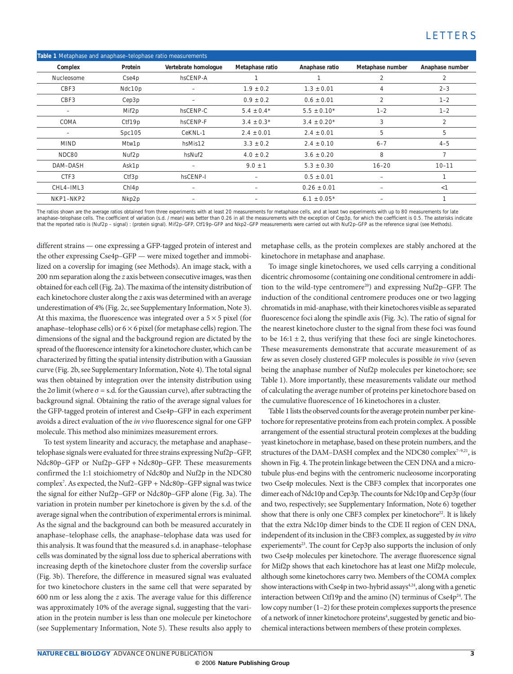| Table 1 Metaphase and anaphase-telophase ratio measurements |  |  |  |  |  |  |  |  |
|-------------------------------------------------------------|--|--|--|--|--|--|--|--|
| Anaphase number                                             |  |  |  |  |  |  |  |  |
| 2                                                           |  |  |  |  |  |  |  |  |
| $2 - 3$                                                     |  |  |  |  |  |  |  |  |
| $1 - 2$                                                     |  |  |  |  |  |  |  |  |
| $1 - 2$                                                     |  |  |  |  |  |  |  |  |
| 2                                                           |  |  |  |  |  |  |  |  |
| 5                                                           |  |  |  |  |  |  |  |  |
| $4 - 5$                                                     |  |  |  |  |  |  |  |  |
| 7                                                           |  |  |  |  |  |  |  |  |
| $10 - 11$                                                   |  |  |  |  |  |  |  |  |
|                                                             |  |  |  |  |  |  |  |  |
| $\lt$ 1                                                     |  |  |  |  |  |  |  |  |
|                                                             |  |  |  |  |  |  |  |  |
|                                                             |  |  |  |  |  |  |  |  |

The ratios shown are the average ratios obtained from three experiments with at least 20 measurements for metaphase cells, and at least two experiments with up to 80 measurements for late anaphase-telophase cells. The coefficient of variation (s.d. / mean) was better than 0.26 in all the measurements with the exception of Cep3p, for which the coefficient is 0.5. The asterisks indicate that the reported ratio is (Nuf2p – signal) : (protein signal). Mif2p–GFP, Ctf19p–GFP and Nkp2–GFP measurements were carried out with Nuf2p–GFP as the reference signal (see Methods).

different strains — one expressing a GFP-tagged protein of interest and the other expressing Cse4p–GFP — were mixed together and immobilized on a coverslip for imaging (see Methods). An image stack, with a 200 nm separation along the *z* axis between consecutive images, was then obtained for each cell (Fig. 2a). The maxima of the intensity distribution of each kinetochore cluster along the *z* axis was determined with an average underestimation of 4% (Fig. 2c, see Supplementary Information, Note 3). At this maxima, the fluorescence was integrated over a  $5 \times 5$  pixel (for anaphase–telophase cells) or  $6 \times 6$  pixel (for metaphase cells) region. The dimensions of the signal and the background region are dictated by the spread of the fluorescence intensity for a kinetochore cluster, which can be characterized by fitting the spatial intensity distribution with a Gaussian curve (Fig. 2b, see Supplementary Information, Note 4). The total signal was then obtained by integration over the intensity distribution using the 2 $\sigma$  limit (where  $\sigma$  = s.d. for the Gaussian curve), after subtracting the background signal. Obtaining the ratio of the average signal values for the GFP-tagged protein of interest and Cse4p–GFP in each experiment avoids a direct evaluation of the *in vivo* fluorescence signal for one GFP molecule. This method also minimizes measurement errors.

To test system linearity and accuracy, the metaphase and anaphase– telophase signals were evaluated for three strains expressing Nuf2p–GFP, Ndc80p–GFP or Nuf2p–GFP + Ndc80p–GFP. These measurements confirmed the 1:1 stoichiometry of Ndc80p and Nuf2p in the NDC80 complex7 . As expected, the Nuf2–GFP + Ndc80p–GFP signal was twice the signal for either Nuf2p–GFP or Ndc80p–GFP alone (Fig. 3a). The variation in protein number per kinetochore is given by the s.d. of the average signal when the contribution of experimental errors is minimal. As the signal and the background can both be measured accurately in anaphase–telophase cells, the anaphase–telophase data was used for this analysis. It was found that the measured s.d. in anaphase–telophase cells was dominated by the signal loss due to spherical aberrations with increasing depth of the kinetochore cluster from the coverslip surface (Fig. 3b). Therefore, the difference in measured signal was evaluated for two kinetochore clusters in the same cell that were separated by 600 nm or less along the *z* axis. The average value for this difference was approximately 10% of the average signal, suggesting that the variation in the protein number is less than one molecule per kinetochore (see Supplementary Information, Note 5). These results also apply to

metaphase cells, as the protein complexes are stably anchored at the kinetochore in metaphase and anaphase.

To image single kinetochores, we used cells carrying a conditional dicentric chromosome (containing one conditional centromere in addition to the wild-type centromere<sup>20</sup>) and expressing Nuf2p-GFP. The induction of the conditional centromere produces one or two lagging chromatids in mid-anaphase, with their kinetochores visible as separated fluorescence foci along the spindle axis (Fig. 3c). The ratio of signal for the nearest kinetochore cluster to the signal from these foci was found to be  $16:1 \pm 2$ , thus verifying that these foci are single kinetochores. These measurements demonstrate that accurate measurement of as few as seven closely clustered GFP molecules is possible *in vivo* (seven being the anaphase number of Nuf2p molecules per kinetochore; see Table 1). More importantly, these measurements validate our method of calculating the average number of proteins per kinetochore based on the cumulative fluorescence of 16 kinetochores in a cluster.

Table 1 lists the observed counts for the average protein number per kinetochore for representative proteins from each protein complex. A possible arrangement of the essential structural protein complexes at the budding yeast kinetochore in metaphase, based on these protein numbers, and the structures of the DAM–DASH complex and the NDC80 complex<sup>7-9,21</sup>, is shown in Fig. 4. The protein linkage between the CEN DNA and a microtubule plus-end begins with the centromeric nucleosome incorporating two Cse4p molecules. Next is the CBF3 complex that incorporates one dimer each of Ndc10p and Cep3p. The counts for Ndc10p and Cep3p (four and two, respectively; see Supplementary Information, Note 6) together show that there is only one CBF3 complex per kinetochore<sup>22</sup>. It is likely that the extra Ndc10p dimer binds to the CDE II region of CEN DNA, independent of its inclusion in the CBF3 complex, as suggested by *in vitro* experiements<sup>23</sup>. The count for Cep3p also supports the inclusion of only two Cse4p molecules per kinetochore. The average fluorescence signal for Mif2p shows that each kinetochore has at least one Mif2p molecule, although some kinetochores carry two. Members of the COMA complex show interactions with Cse4p in two-hybrid assays<sup>4,24</sup>, along with a genetic interaction between Ctf19p and the amino  $(N)$  terminus of  $Cse4p<sup>24</sup>$ . The low copy number (1–2) for these protein complexes supports the presence of a network of inner kinetochore proteins<sup>4</sup>, suggested by genetic and biochemical interactions between members of these protein complexes.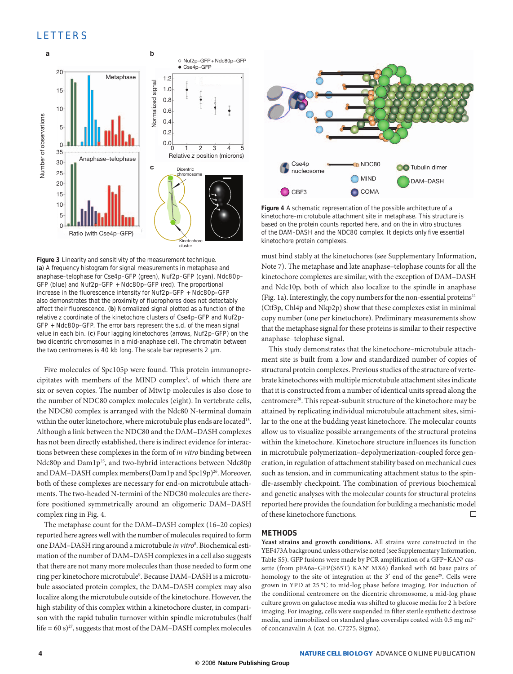## **LETTERS**



**Figure 3** Linearity and sensitivity of the measurement technique. (**a**) A frequency histogram for signal measurements in metaphase and anaphase–telophase for Cse4p–GFP (green), Nuf2p–GFP (cyan), Ndc80p– GFP (blue) and Nuf2p–GFP + Ndc80p–GFP (red). The proportional increase in the fluorescence intensity for Nuf2p–GFP + Ndc80p–GFP also demonstrates that the proximity of fluorophores does not detectably affect their fluorescence. (**b**) Normalized signal plotted as a function of the relative *z* coordinate of the kinetochore clusters of Cse4p–GFP and Nuf2p– GFP + Ndc80p–GFP. The error bars represent the s.d. of the mean signal value in each bin. (**c**) Four lagging kinetochores (arrows, Nuf2p–GFP) on the two dicentric chromosomes in a mid-anaphase cell. The chromatin between the two centromeres is 40 kb long. The scale bar represents 2 µm.

Five molecules of Spc105p were found. This protein immunoprecipitates with members of the MIND complex<sup>5</sup>, of which there are six or seven copies. The number of Mtw1p molecules is also close to the number of NDC80 complex molecules (eight). In vertebrate cells, the NDC80 complex is arranged with the Ndc80 N-terminal domain within the outer kinetochore, where microtubule plus ends are located<sup>15</sup>. Although a link between the NDC80 and the DAM–DASH complexes has not been directly established, there is indirect evidence for interactions between these complexes in the form of *in vitro* binding between Ndc80p and Dam1p<sup>25</sup>, and two-hybrid interactions between Ndc80p and DAM–DASH complex members (Dam1p and Spc19p)<sup>26</sup>. Moreover, both of these complexes are necessary for end-on microtubule attachments. The two-headed N-termini of the NDC80 molecules are therefore positioned symmetrically around an oligomeric DAM–DASH complex ring in Fig. 4.

The metaphase count for the DAM–DASH complex (16–20 copies) reported here agrees well with the number of molecules required to form one DAM–DASH ring around a microtubule *in vitro*<sup>8</sup> . Biochemical estimation of the number of DAM–DASH complexes in a cell also suggests that there are not many more molecules than those needed to form one ring per kinetochore microtubule<sup>9</sup>. Because DAM-DASH is a microtubule associated protein complex, the DAM–DASH complex may also localize along the microtubule outside of the kinetochore. However, the high stability of this complex within a kinetochore cluster, in comparison with the rapid tubulin turnover within spindle microtubules(half life =  $60 \text{ s})^{27}$ , suggests that most of the DAM–DASH complex molecules



**Figure 4** A schematic representation of the possible architecture of a kinetochore–microtubule attachment site in metaphase. This structure is based on the protein counts reported here, and on the *in vitro* structures of the DAM–DASH and the NDC80 complex. It depicts only five essential kinetochore protein complexes.

must bind stably at the kinetochores (see Supplementary Information, Note 7). The metaphase and late anaphase–telophase counts for all the kinetochore complexes are similar, with the exception of DAM–DASH and Ndc10p, both of which also localize to the spindle in anaphase (Fig. 1a). Interestingly, the copy numbers for the non-essential proteins $11$ (Ctf3p, Chl4p and Nkp2p) show that these complexes exist in minimal copy number (one per kinetochore). Preliminary measurements show that the metaphase signal for these proteins is similar to their respective anaphase−telophase signal.

This study demonstrates that the kinetochore–microtubule attachment site is built from a low and standardized number of copies of structural protein complexes. Previous studies of the structure of vertebrate kinetochores with multiple microtubule attachment sites indicate that it is constructed from a number of identical units spread along the centromere<sup>28</sup>. This repeat-subunit structure of the kinetochore may be attained by replicating individual microtubule attachment sites, similar to the one at the budding yeast kinetochore. The molecular counts allow us to visualize possible arrangements of the structural proteins within the kinetochore. Kinetochore structure influences its function in microtubule polymerization–depolymerization-coupled force generation, in regulation of attachment stability based on mechanical cues such as tension, and in communicating attachment status to the spindle-assembly checkpoint. The combination of previous biochemical and genetic analyses with the molecular counts for structural proteins reported here provides the foundation for building a mechanistic model of these kinetochore functions. П

#### **METHODS**

**Yeast strains and growth conditions.** All strains were constructed in the YEF473A background unless otherwise noted (see Supplementary Information, Table S5). GFP fusions were made by PCR amplification of a GFP-KAN<sup>r</sup> cassette (from pFA6a-GFP(S65T) KAN<sup>r</sup> MX6) flanked with 60 base pairs of homology to the site of integration at the 3' end of the gene<sup>29</sup>. Cells were grown in YPD at 25 °C to mid-log phase before imaging. For induction of the conditional centromere on the dicentric chromosome, a mid-log phase culture grown on galactose media was shifted to glucose media for 2 h before imaging. For imaging, cells were suspended in filter sterile synthetic dextrose media, and immobilized on standard glass coverslips coated with 0.5 mg ml<sup>-1</sup> of concanavalin A (cat. no. C7275, Sigma).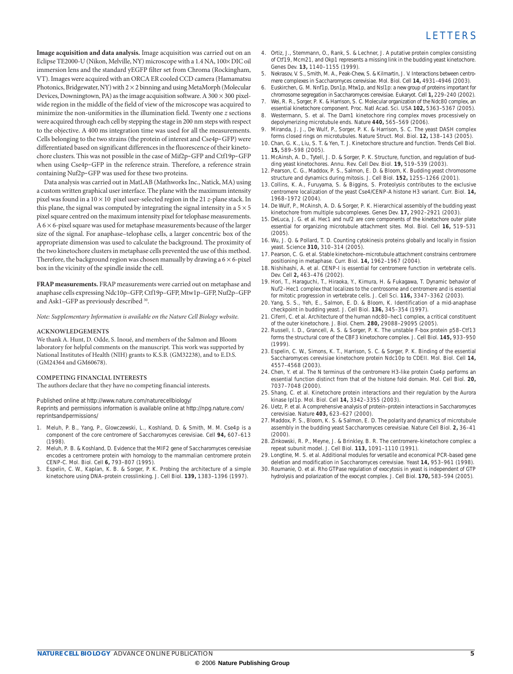**Image acquisition and data analysis.** Image acquisition was carried out on an Eclipse TE2000-U (Nikon, Melville, NY) microscope with a 1.4 NA, 100× DIC oil immersion lens and the standard yEGFP filter set from Chroma (Rockingham, VT). Images were acquired with an ORCA ER cooled CCD camera (Hamamatsu Photonics, Bridgewater, NY) with  $2 \times 2$  binning and using MetaMorph (Molecular Devices, Downingtown, PA) as the image acquisition software. A  $300 \times 300$  pixelwide region in the middle of the field of view of the microscope was acquired to minimize the non-uniformities in the illumination field. Twenty one *z* sections were acquired through each cell by stepping the stage in 200 nm steps with respect to the objective. A 400 ms integration time was used for all the measurements. Cells belonging to the two strains (the protein of interest and Cse4p–GFP) were differentiated based on significant differences in the fluorescence of their kinetochore clusters. This was not possible in the case of Mif2p–GFP and Ctf19p–GFP when using Cse4p–GFP in the reference strain. Therefore, a reference strain containing Nuf2p–GFP was used for these two proteins.

Data analysis was carried out in MatLAB (Mathworks Inc., Natick, MA) using a custom written graphical user interface. The plane with the maximum intensity pixel was found in a 10 × 10 pixel user-selected region in the 21 *z*-plane stack. In this plane, the signal was computed by integrating the signal intensity in a  $5 \times 5$ pixel square centred on the maximum intensity pixel for telophase measurements.  $A$  6  $\times$  6-pixel square was used for metaphase measurements because of the larger size of the signal. For anaphase–telophase cells, a larger concentric box of the appropriate dimension was used to calculate the background. The proximity of the two kinetochore clusters in metaphase cells prevented the use of this method. Therefore, the background region was chosen manually by drawing a  $6 \times 6$ -pixel box in the vicinity of the spindle inside the cell.

**FRAP measurements.** FRAP measurements were carried out on metaphase and anaphase cells expressing Ndc10p–GFP, Ctf19p–GFP, Mtw1p–GFP, Nuf2p–GFP and Ask1–GFP as previously described 30.

*Note: Supplementary Information is available on the Nature Cell Biology website.*

#### **ACKNOWLEDGEMENTS**

We thank A. Hunt, D. Odde, S. Inoué, and members of the Salmon and Bloom laboratory for helpful comments on the manuscript. This work was supported by National Institutes of Health (NIH) grants to K.S.B. (GM32238), and to E.D.S. (GM24364 and GM60678).

#### **COMPETING FINANCIAL INTERESTS**

The authors declare that they have no competing financial interests.

Published online at http://www.nature.com/naturecellbiology/

Reprints and permissions information is available online at http://npg.nature.com/ reprintsandpermissions/

- 1. Meluh, P. B., Yang, P., Glowczewski, L., Koshland, D. & Smith, M. M. Cse4p is a component of the core centromere of *Saccharomyces cerevisiae*. *Cell* **94,** 607–613 (1998).
- 2. Meluh, P. B. & Koshland, D. Evidence that the *MIF2* gene of *Saccharomyces cerevisiae* encodes a centromere protein with homology to the mammalian centromere protein CENP-C. *Mol. Biol. Cell* **6,** 793–807 (1995).
- 3. Espelin, C. W., Kaplan, K. B. & Sorger, P. K. Probing the architecture of a simple kinetochore using DNA–protein crosslinking. *J. Cell Biol.* **139,** 1383–1396 (1997).
- 4. Ortiz, J., Stemmann, O., Rank, S. & Lechner, J. A putative protein complex consisting of Ctf19, Mcm21, and Okp1 represents a missing link in the budding yeast kinetochore. *Genes Dev.* **13,** 1140–1155 (1999).
- 5. Nekrasov, V. S., Smith, M. A., Peak-Chew, S. & Kilmartin, J. V. Interactions between centromere complexes in *Saccharomyces cerevisiae*. *Mol. Biol. Cell* **14,** 4931–4946 (2003).
- 6. Euskirchen, G. M. Nnf1p, Dsn1p, Mtw1p, and Nsl1p: a new group of proteins important for chromosome segregation in *Saccharomyces cerevisiae. Eukaryot. Cell* **1,** 229–240 (2002).
- 7. Wei, R. R., Sorger, P. K. & Harrison, S. C. Molecular organization of the Ndc80 complex, an essential kinetochore component. *Proc. Natl Acad. Sci.* USA **102,** 5363–5367 (2005).
- 8. Westermann, S. *et al.* The Dam1 kinetochore ring complex moves processively on depolymerizing microtubule ends. *Nature* **440,** 565–569 (2006).
- Miranda, J. J., De Wulf, P., Sorger, P. K. & Harrison, S. C. The yeast DASH complex forms closed rings on microtubules. *Nature Struct. Mol. Biol.* **12,** 138–143 (2005).
- 10. Chan, G. K., Liu, S. T. & Yen, T. J. Kinetochore structure and function. *Trends Cell Biol.* **15,** 589–598 (2005).
- 11. McAinsh, A. D., Tytell, J. D. & Sorger, P. K. Structure, function, and regulation of budding yeast kinetochores. *Annu. Rev. Cell Dev. Biol.* **19,** 519–539 (2003).
- 12. Pearson, C. G., Maddox, P. S., Salmon, E. D. & Bloom, K. Budding yeast chromosome structure and dynamics during mitosis. *J. Cell Biol.* **152,** 1255–1266 (2001).
- 13. Collins, K. A., Furuyama, S. & Biggins, S. Proteolysis contributes to the exclusive centromere localization of the yeast Cse4/CENP-A histone H3 variant. *Curr. Biol.* **14,** 1968–1972 (2004).
- 14. De Wulf, P., McAinsh, A. D. & Sorger, P. K. Hierarchical assembly of the budding yeast kinetochore from multiple subcomplexes. *Genes Dev.* **17,** 2902–2921 (2003).
- 15. DeLuca, J. G. *et al.* Hec1 and nuf2 are core components of the kinetochore outer plate essential for organizing microtubule attachment sites. *Mol. Biol. Cell* **16,** 519–531 (2005).
- 16. Wu, J. Q. & Pollard, T. D. Counting cytokinesis proteins globally and locally in fission yeast. *Science* **310,** 310–314 (2005).
- 17. Pearson, C. G. *et al.* Stable kinetochore–microtubule attachment constrains centromere positioning in metaphase. *Curr. Biol.* **14,** 1962–1967 (2004).
- 18. Nishihashi, A. *et al.* CENP-I is essential for centromere function in vertebrate cells. *Dev. Cell* **2,** 463–476 (2002).
- 19. Hori, T., Haraguchi, T., Hiraoka, Y., Kimura, H. & Fukagawa, T. Dynamic behavior of Nuf2–Hec1 complex that localizes to the centrosome and centromere and is essential for mitotic progression in vertebrate cells. *J. Cell Sci.* **116,** 3347–3362 (2003).
- 20. Yang, S. S., Yeh, E., Salmon, E. D. & Bloom, K. Identification of a mid-anaphase checkpoint in budding yeast. *J. Cell Biol.* **136,** 345–354 (1997).
- 21. Ciferri, C. *et al.* Architecture of the human ndc80–hec1 complex, a critical constituent of the outer kinetochore. *J. Biol.* Chem. **280,** 29088–29095 (2005).
- 22. Russell, I. D., Grancell, A. S. & Sorger, P. K. The unstable F-box protein p58–Ctf13 forms the structural core of the CBF3 kinetochore complex. *J. Cell Biol.* **145,** 933–950 (1999).
- 23. Espelin, C. W., Simons, K. T., Harrison, S. C. & Sorger, P. K. Binding of the essential *Saccharomyces cerevisiae* kinetochore protein Ndc10p to CDEII. *Mol. Biol. Cell* **14,** 4557–4568 (2003).
- 24. Chen, Y. *et al.* The N terminus of the centromere H3-like protein Cse4p performs an essential function distinct from that of the histone fold domain. *Mol. Cell Biol.* **20,** 7037–7048 (2000).
- 25. Shang, C. *et al.* Kinetochore protein interactions and their regulation by the Aurora kinase Ipl1p. *Mol. Biol. Cell* **14,** 3342–3355 (2003).
- 26. Uetz, P. *et al.* A comprehensive analysis of protein–protein interactions in *Saccharomyces cerevisiae. Nature* **403,** 623–627 (2000).
- 27. Maddox, P. S., Bloom, K. S. & Salmon, E. D. The polarity and dynamics of microtubule assembly in the budding yeast *Saccharomyces cerevisiae. Nature Cell Biol.* **2,** 36–41  $(2000)$
- 28. Zinkowski, R. P., Meyne, J. & Brinkley, B. R. The centromere–kinetochore complex: a repeat subunit model. *J. Cell Biol.* **113,** 1091–1110 (1991).
- 29. Longtine, M. S. *et al.* Additional modules for versatile and economical PCR-based gene deletion and modification in *Saccharomyces cerevisiae. Yeast* **14,** 953–961 (1998).
- 30. Roumanie, O. *et al.* Rho GTPase regulation of exocytosis in yeast is independent of GTP hydrolysis and polarization of the exocyst complex. *J. Cell Biol.* **170,** 583–594 (2005).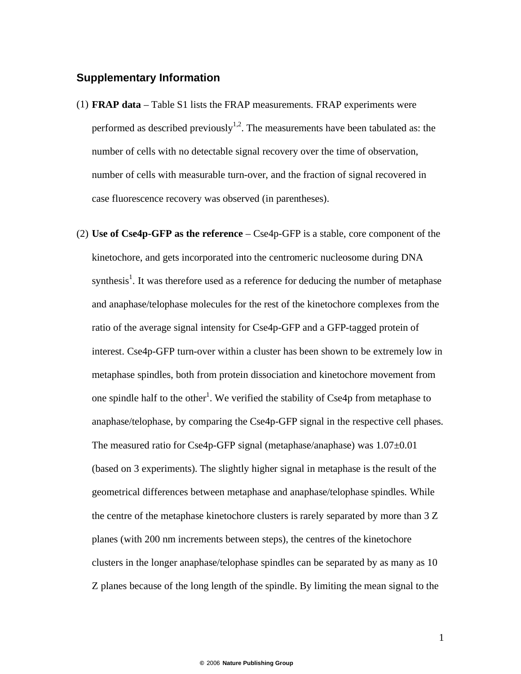### **Supplementary Information**

- (1) **FRAP data**  Table S1 lists the FRAP measurements. FRAP experiments were performed as described previously<sup>1,2</sup>. The measurements have been tabulated as: the number of cells with no detectable signal recovery over the time of observation, number of cells with measurable turn-over, and the fraction of signal recovered in case fluorescence recovery was observed (in parentheses).
- (2) **Use of Cse4p-GFP as the reference** Cse4p-GFP is a stable, core component of the kinetochore, and gets incorporated into the centromeric nucleosome during DNA synthesis<sup>1</sup>. It was therefore used as a reference for deducing the number of metaphase and anaphase/telophase molecules for the rest of the kinetochore complexes from the ratio of the average signal intensity for Cse4p-GFP and a GFP-tagged protein of interest. Cse4p-GFP turn-over within a cluster has been shown to be extremely low in metaphase spindles, both from protein dissociation and kinetochore movement from one spindle half to the other<sup>1</sup>. We verified the stability of Cse4p from metaphase to anaphase/telophase, by comparing the Cse4p-GFP signal in the respective cell phases. The measured ratio for Cse4p-GFP signal (metaphase/anaphase) was 1.07±0.01 (based on 3 experiments). The slightly higher signal in metaphase is the result of the geometrical differences between metaphase and anaphase/telophase spindles. While the centre of the metaphase kinetochore clusters is rarely separated by more than 3 Z planes (with 200 nm increments between steps), the centres of the kinetochore clusters in the longer anaphase/telophase spindles can be separated by as many as 10 Z planes because of the long length of the spindle. By limiting the mean signal to the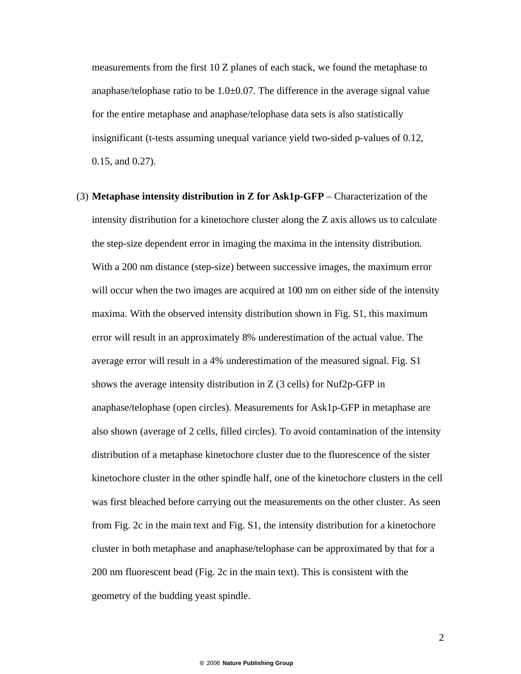measurements from the first 10 Z planes of each stack, we found the metaphase to anaphase/telophase ratio to be  $1.0\pm 0.07$ . The difference in the average signal value for the entire metaphase and anaphase/telophase data sets is also statistically insignificant (t-tests assuming unequal variance yield two-sided p-values of 0.12, 0.15, and 0.27).

(3) **Metaphase intensity distribution in Z for Ask1p-GFP** – Characterization of the intensity distribution for a kinetochore cluster along the Z axis allows us to calculate the step-size dependent error in imaging the maxima in the intensity distribution. With a 200 nm distance (step-size) between successive images, the maximum error will occur when the two images are acquired at 100 nm on either side of the intensity maxima. With the observed intensity distribution shown in Fig. S1, this maximum error will result in an approximately 8% underestimation of the actual value. The average error will result in a 4% underestimation of the measured signal. Fig. S1 shows the average intensity distribution in  $Z(3 \text{ cells})$  for Nuf2p-GFP in anaphase/telophase (open circles). Measurements for Ask1p-GFP in metaphase are also shown (average of 2 cells, filled circles). To avoid contamination of the intensity distribution of a metaphase kinetochore cluster due to the fluorescence of the sister kinetochore cluster in the other spindle half, one of the kinetochore clusters in the cell was first bleached before carrying out the measurements on the other cluster. As seen from Fig. 2c in the main text and Fig. S1, the intensity distribution for a kinetochore cluster in both metaphase and anaphase/telophase can be approximated by that for a 200 nm fluorescent bead (Fig. 2c in the main text). This is consistent with the geometry of the budding yeast spindle.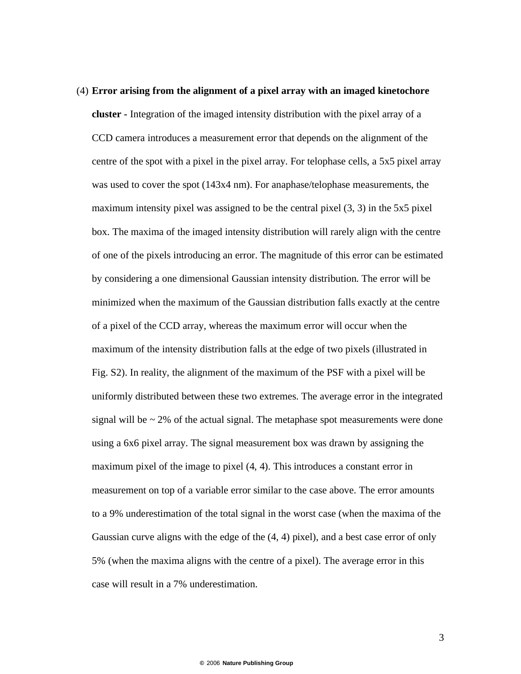# (4) **Error arising from the alignment of a pixel array with an imaged kinetochore cluster -** Integration of the imaged intensity distribution with the pixel array of a CCD camera introduces a measurement error that depends on the alignment of the centre of the spot with a pixel in the pixel array. For telophase cells, a 5x5 pixel array was used to cover the spot (143x4 nm). For anaphase/telophase measurements, the maximum intensity pixel was assigned to be the central pixel (3, 3) in the 5x5 pixel box. The maxima of the imaged intensity distribution will rarely align with the centre of one of the pixels introducing an error. The magnitude of this error can be estimated by considering a one dimensional Gaussian intensity distribution. The error will be minimized when the maximum of the Gaussian distribution falls exactly at the centre of a pixel of the CCD array, whereas the maximum error will occur when the maximum of the intensity distribution falls at the edge of two pixels (illustrated in Fig. S2). In reality, the alignment of the maximum of the PSF with a pixel will be uniformly distributed between these two extremes. The average error in the integrated signal will be  $\sim$  2% of the actual signal. The metaphase spot measurements were done using a 6x6 pixel array. The signal measurement box was drawn by assigning the maximum pixel of the image to pixel (4, 4). This introduces a constant error in measurement on top of a variable error similar to the case above. The error amounts to a 9% underestimation of the total signal in the worst case (when the maxima of the Gaussian curve aligns with the edge of the (4, 4) pixel), and a best case error of only 5% (when the maxima aligns with the centre of a pixel). The average error in this case will result in a 7% underestimation.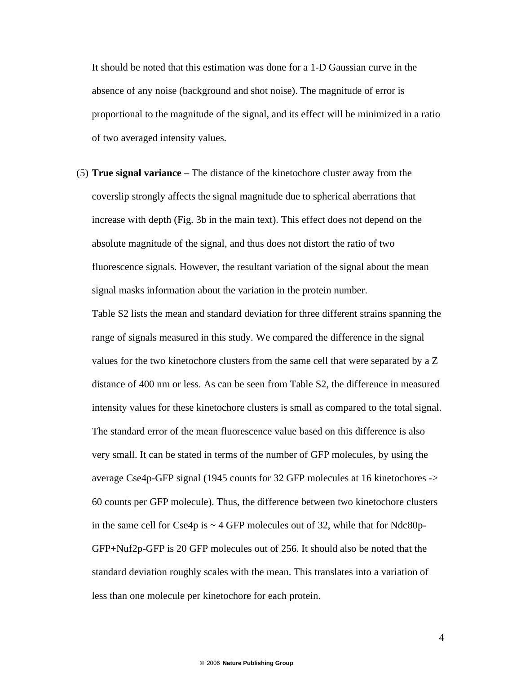It should be noted that this estimation was done for a 1-D Gaussian curve in the absence of any noise (background and shot noise). The magnitude of error is proportional to the magnitude of the signal, and its effect will be minimized in a ratio of two averaged intensity values.

(5) **True signal variance** – The distance of the kinetochore cluster away from the coverslip strongly affects the signal magnitude due to spherical aberrations that increase with depth (Fig. 3b in the main text). This effect does not depend on the absolute magnitude of the signal, and thus does not distort the ratio of two fluorescence signals. However, the resultant variation of the signal about the mean signal masks information about the variation in the protein number.

Table S2 lists the mean and standard deviation for three different strains spanning the range of signals measured in this study. We compared the difference in the signal values for the two kinetochore clusters from the same cell that were separated by a Z distance of 400 nm or less. As can be seen from Table S2, the difference in measured intensity values for these kinetochore clusters is small as compared to the total signal. The standard error of the mean fluorescence value based on this difference is also very small. It can be stated in terms of the number of GFP molecules, by using the average Cse4p-GFP signal (1945 counts for 32 GFP molecules at 16 kinetochores -> 60 counts per GFP molecule). Thus, the difference between two kinetochore clusters in the same cell for Cse4p is  $\sim$  4 GFP molecules out of 32, while that for Ndc80p-GFP+Nuf2p-GFP is 20 GFP molecules out of 256. It should also be noted that the standard deviation roughly scales with the mean. This translates into a variation of less than one molecule per kinetochore for each protein.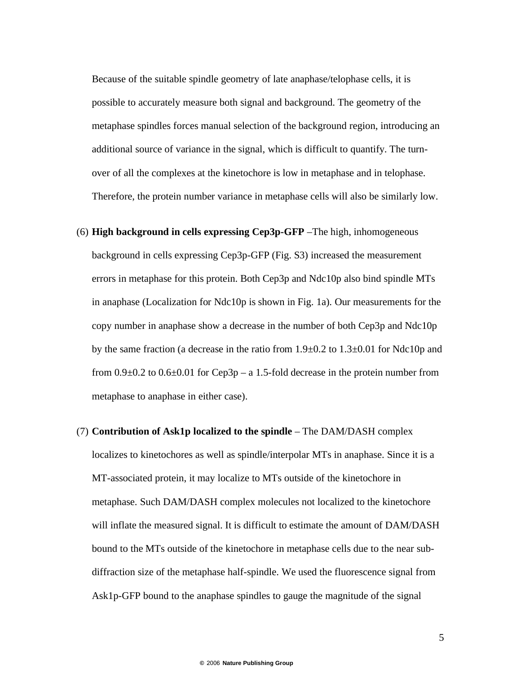Because of the suitable spindle geometry of late anaphase/telophase cells, it is possible to accurately measure both signal and background. The geometry of the metaphase spindles forces manual selection of the background region, introducing an additional source of variance in the signal, which is difficult to quantify. The turnover of all the complexes at the kinetochore is low in metaphase and in telophase. Therefore, the protein number variance in metaphase cells will also be similarly low.

- (6) **High background in cells expressing Cep3p-GFP** –The high, inhomogeneous background in cells expressing Cep3p-GFP (Fig. S3) increased the measurement errors in metaphase for this protein. Both Cep3p and Ndc10p also bind spindle MTs in anaphase (Localization for Ndc10p is shown in Fig. 1a). Our measurements for the copy number in anaphase show a decrease in the number of both Cep3p and Ndc10p by the same fraction (a decrease in the ratio from  $1.9\pm0.2$  to  $1.3\pm0.01$  for Ndc10p and from  $0.9\pm0.2$  to  $0.6\pm0.01$  for Cep3p – a 1.5-fold decrease in the protein number from metaphase to anaphase in either case).
- (7) **Contribution of Ask1p localized to the spindle** The DAM/DASH complex localizes to kinetochores as well as spindle/interpolar MTs in anaphase. Since it is a MT-associated protein, it may localize to MTs outside of the kinetochore in metaphase. Such DAM/DASH complex molecules not localized to the kinetochore will inflate the measured signal. It is difficult to estimate the amount of DAM/DASH bound to the MTs outside of the kinetochore in metaphase cells due to the near subdiffraction size of the metaphase half-spindle. We used the fluorescence signal from Ask1p-GFP bound to the anaphase spindles to gauge the magnitude of the signal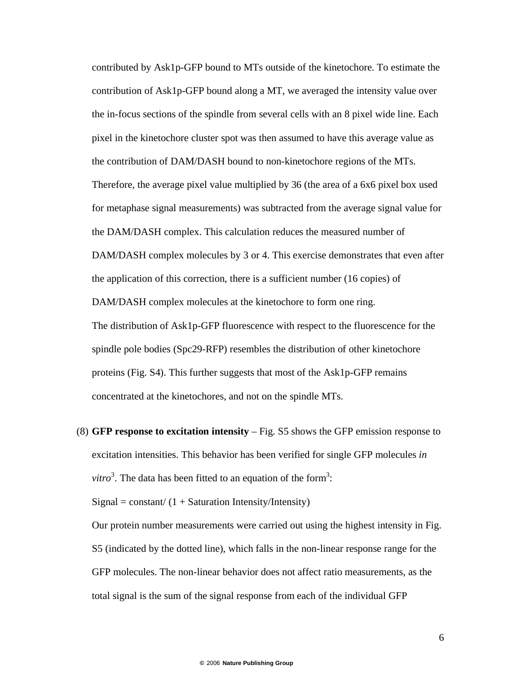contributed by Ask1p-GFP bound to MTs outside of the kinetochore. To estimate the contribution of Ask1p-GFP bound along a MT, we averaged the intensity value over the in-focus sections of the spindle from several cells with an 8 pixel wide line. Each pixel in the kinetochore cluster spot was then assumed to have this average value as the contribution of DAM/DASH bound to non-kinetochore regions of the MTs. Therefore, the average pixel value multiplied by 36 (the area of a 6x6 pixel box used for metaphase signal measurements) was subtracted from the average signal value for the DAM/DASH complex. This calculation reduces the measured number of DAM/DASH complex molecules by 3 or 4. This exercise demonstrates that even after the application of this correction, there is a sufficient number (16 copies) of DAM/DASH complex molecules at the kinetochore to form one ring. The distribution of Ask1p-GFP fluorescence with respect to the fluorescence for the spindle pole bodies (Spc29-RFP) resembles the distribution of other kinetochore proteins (Fig. S4). This further suggests that most of the Ask1p-GFP remains concentrated at the kinetochores, and not on the spindle MTs.

(8) **GFP response to excitation intensity** – Fig. S5 shows the GFP emission response to excitation intensities. This behavior has been verified for single GFP molecules *in*   $vitro<sup>3</sup>$ . The data has been fitted to an equation of the form<sup>3</sup>:

 $Signal = constant / (1 + Saturnation Intensity/Intensity)$ 

Our protein number measurements were carried out using the highest intensity in Fig. S5 (indicated by the dotted line), which falls in the non-linear response range for the GFP molecules. The non-linear behavior does not affect ratio measurements, as the total signal is the sum of the signal response from each of the individual GFP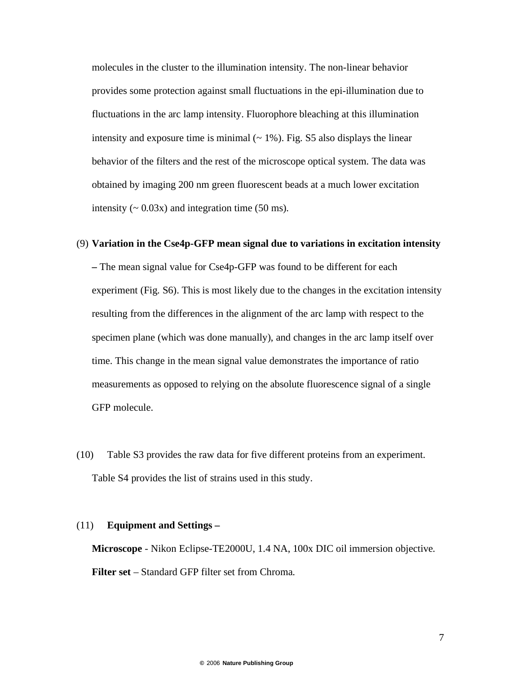molecules in the cluster to the illumination intensity. The non-linear behavior provides some protection against small fluctuations in the epi-illumination due to fluctuations in the arc lamp intensity. Fluorophore bleaching at this illumination intensity and exposure time is minimal  $($   $\sim$  1%). Fig. S5 also displays the linear behavior of the filters and the rest of the microscope optical system. The data was obtained by imaging 200 nm green fluorescent beads at a much lower excitation intensity  $({\sim} 0.03x)$  and integration time (50 ms).

## (9) **Variation in the Cse4p-GFP mean signal due to variations in excitation intensity**

**–** The mean signal value for Cse4p-GFP was found to be different for each experiment (Fig. S6). This is most likely due to the changes in the excitation intensity resulting from the differences in the alignment of the arc lamp with respect to the specimen plane (which was done manually), and changes in the arc lamp itself over time. This change in the mean signal value demonstrates the importance of ratio measurements as opposed to relying on the absolute fluorescence signal of a single GFP molecule.

(10) Table S3 provides the raw data for five different proteins from an experiment. Table S4 provides the list of strains used in this study.

### (11) **Equipment and Settings –**

**Microscope** - Nikon Eclipse-TE2000U, 1.4 NA, 100x DIC oil immersion objective. **Filter set** – Standard GFP filter set from Chroma.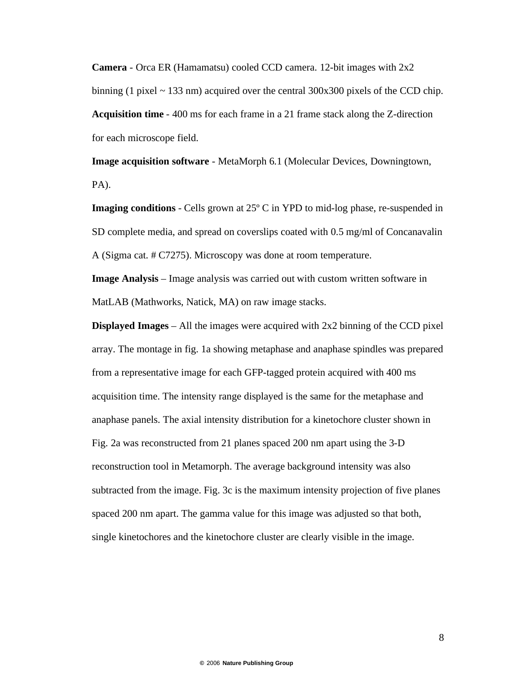**Camera** - Orca ER (Hamamatsu) cooled CCD camera. 12-bit images with 2x2 binning (1 pixel  $\sim$  133 nm) acquired over the central 300x300 pixels of the CCD chip. **Acquisition time** - 400 ms for each frame in a 21 frame stack along the Z-direction for each microscope field.

**Image acquisition software** - MetaMorph 6.1 (Molecular Devices, Downingtown, PA).

**Imaging conditions** - Cells grown at 25º C in YPD to mid-log phase, re-suspended in SD complete media, and spread on coverslips coated with 0.5 mg/ml of Concanavalin A (Sigma cat. # C7275). Microscopy was done at room temperature.

**Image Analysis** – Image analysis was carried out with custom written software in MatLAB (Mathworks, Natick, MA) on raw image stacks.

**Displayed Images** – All the images were acquired with 2x2 binning of the CCD pixel array. The montage in fig. 1a showing metaphase and anaphase spindles was prepared from a representative image for each GFP-tagged protein acquired with 400 ms acquisition time. The intensity range displayed is the same for the metaphase and anaphase panels. The axial intensity distribution for a kinetochore cluster shown in Fig. 2a was reconstructed from 21 planes spaced 200 nm apart using the 3-D reconstruction tool in Metamorph. The average background intensity was also subtracted from the image. Fig. 3c is the maximum intensity projection of five planes spaced 200 nm apart. The gamma value for this image was adjusted so that both, single kinetochores and the kinetochore cluster are clearly visible in the image.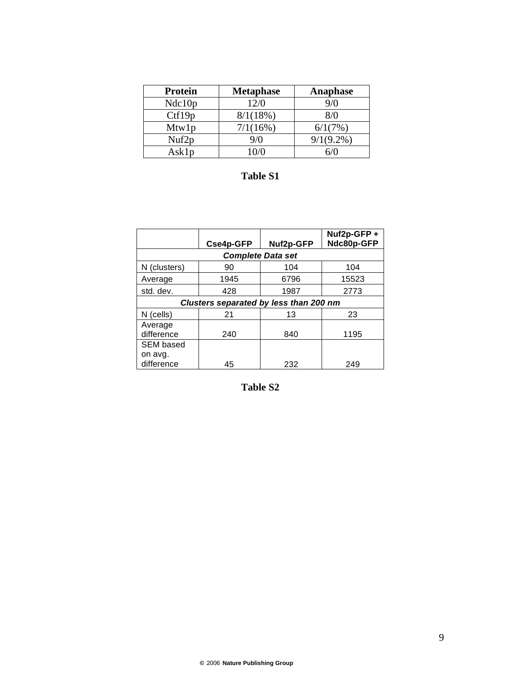| <b>Protein</b>    | <b>Metaphase</b> | Anaphase     |
|-------------------|------------------|--------------|
| Ndc10p            | 12/0             | 9/0          |
| Ctf19p            | 8/1(18%)         | 8/0          |
| Mtw1p             | 7/1(16%)         | 6/1(7%)      |
| Nuf <sub>2p</sub> | 9/0              | $9/1(9.2\%)$ |
| Asklp             | $\Omega/\Omega$  |              |

# **Table S1**

|                                        | Cse4p-GFP | Nuf2p-GFP | Nuf2p-GFP +<br>Ndc80p-GFP |  |  |  |  |
|----------------------------------------|-----------|-----------|---------------------------|--|--|--|--|
| <b>Complete Data set</b>               |           |           |                           |  |  |  |  |
| N (clusters)                           | 90        | 104       | 104                       |  |  |  |  |
| Average                                | 1945      | 6796      | 15523                     |  |  |  |  |
| std. dev.                              | 428       | 1987      | 2773                      |  |  |  |  |
| Clusters separated by less than 200 nm |           |           |                           |  |  |  |  |
| N (cells)                              | 21        | 13        | 23                        |  |  |  |  |
| Average<br>difference                  | 240       | 840       | 1195                      |  |  |  |  |
| <b>SEM based</b>                       |           |           |                           |  |  |  |  |
| on avg.<br>difference                  | 45        | 232       | 249                       |  |  |  |  |

**Table S2**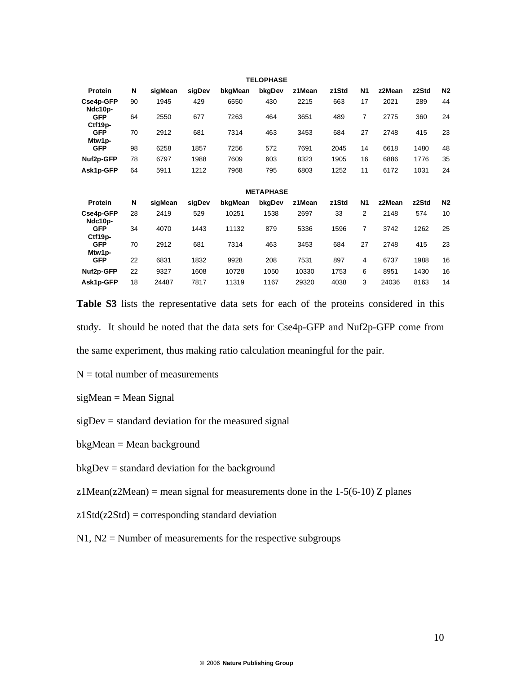| <b>TELOPHASE</b>      |    |         |        |         |                  |        |       |                |        |       |                |
|-----------------------|----|---------|--------|---------|------------------|--------|-------|----------------|--------|-------|----------------|
| Protein               | N  | sigMean | sigDev | bkgMean | bkgDev           | z1Mean | z1Std | <b>N1</b>      | z2Mean | z2Std | N2             |
| Cse4p-GFP<br>Ndc10p-  | 90 | 1945    | 429    | 6550    | 430              | 2215   | 663   | 17             | 2021   | 289   | 44             |
| <b>GFP</b><br>Ctf19p- | 64 | 2550    | 677    | 7263    | 464              | 3651   | 489   | $\overline{7}$ | 2775   | 360   | 24             |
| <b>GFP</b><br>Mtw1p-  | 70 | 2912    | 681    | 7314    | 463              | 3453   | 684   | 27             | 2748   | 415   | 23             |
| <b>GFP</b>            | 98 | 6258    | 1857   | 7256    | 572              | 7691   | 2045  | 14             | 6618   | 1480  | 48             |
| Nuf2p-GFP             | 78 | 6797    | 1988   | 7609    | 603              | 8323   | 1905  | 16             | 6886   | 1776  | 35             |
| Ask1p-GFP             | 64 | 5911    | 1212   | 7968    | 795              | 6803   | 1252  | 11             | 6172   | 1031  | 24             |
|                       |    |         |        |         | <b>METAPHASE</b> |        |       |                |        |       |                |
| Protein               | N  | sigMean | sigDev | bkgMean | bkgDev           | z1Mean | z1Std | <b>N1</b>      | z2Mean | z2Std | N <sub>2</sub> |
| Cse4p-GFP<br>Ndc10p-  | 28 | 2419    | 529    | 10251   | 1538             | 2697   | 33    | 2              | 2148   | 574   | 10             |
| <b>GFP</b><br>Ctf19p- | 34 | 4070    | 1443   | 11132   | 879              | 5336   | 1596  | $\overline{7}$ | 3742   | 1262  | 25             |
| <b>GFP</b><br>Mtw1p-  | 70 | 2912    | 681    | 7314    | 463              | 3453   | 684   | 27             | 2748   | 415   | 23             |
| <b>GFP</b>            | 22 | 6831    | 1832   | 9928    | 208              | 7531   | 897   | 4              | 6737   | 1988  | 16             |
| Nuf2p-GFP             | 22 | 9327    | 1608   | 10728   | 1050             | 10330  | 1753  | 6              | 8951   | 1430  | 16             |
| Ask1p-GFP             | 18 | 24487   | 7817   | 11319   | 1167             | 29320  | 4038  | 3              | 24036  | 8163  | 14             |

**Table S3** lists the representative data sets for each of the proteins considered in this study. It should be noted that the data sets for Cse4p-GFP and Nuf2p-GFP come from the same experiment, thus making ratio calculation meaningful for the pair.

 $N =$  total number of measurements

sigMean = Mean Signal

 $sigDev = standard deviation for the measured signal$ 

bkgMean = Mean background

bkgDev = standard deviation for the background

z1Mean(z2Mean) = mean signal for measurements done in the  $1-5(6-10)$  Z planes

 $z1Std(z2Std) = corresponding standard deviation$ 

 $N1$ ,  $N2$  = Number of measurements for the respective subgroups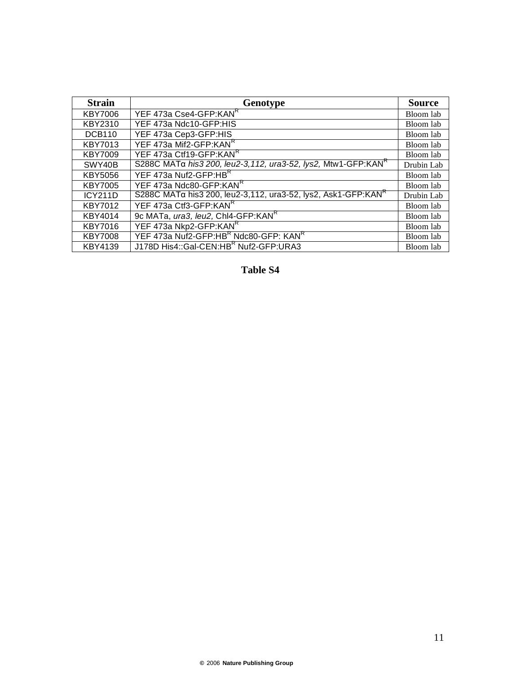| <b>Strain</b>  | Genotype                                                                   | <b>Source</b> |
|----------------|----------------------------------------------------------------------------|---------------|
| KBY7006        | YEF 473a Cse4-GFP:KANR                                                     | Bloom lab     |
| KBY2310        | YEF 473a Ndc10-GFP:HIS                                                     | Bloom lab     |
| <b>DCB110</b>  | YEF 473a Cep3-GFP:HIS                                                      | Bloom lab     |
| <b>KBY7013</b> | YEF 473a Mif2-GFP:KANR                                                     | Bloom lab     |
| <b>KBY7009</b> | YEF 473a Ctf19-GFP:KANR                                                    | Bloom lab     |
| SWY40B         | S288C MATα his3 200, leu2-3, 112, ura3-52, lys2, Mtw1-GFP:KAN <sup>K</sup> | Drubin Lab    |
| <b>KBY5056</b> | YEF 473a Nuf2-GFP:HBR                                                      | Bloom lab     |
| KBY7005        | YEF 473a Ndc80-GFP:KANR                                                    | Bloom lab     |
| <b>ICY211D</b> | S288C MATα his3 200, leu2-3,112, ura3-52, lys2, Ask1-GFP:KAN <sup>**</sup> | Drubin Lab    |
| <b>KBY7012</b> | YEF 473a Ctf3-GFP:KANR                                                     | Bloom lab     |
| KBY4014        | 9c MATa, ura3, leu2, Chl4-GFP:KANR                                         | Bloom lab     |
| <b>KBY7016</b> | YEF 473a Nkp2-GFP:KANR                                                     | Bloom lab     |
| <b>KBY7008</b> | YEF 473a Nuf2-GFP:HBR Ndc80-GFP: KANR                                      | Bloom lab     |
| KBY4139        | J178D His4::Gal-CEN:HBR Nuf2-GFP:URA3                                      | Bloom lab     |

**Table S4**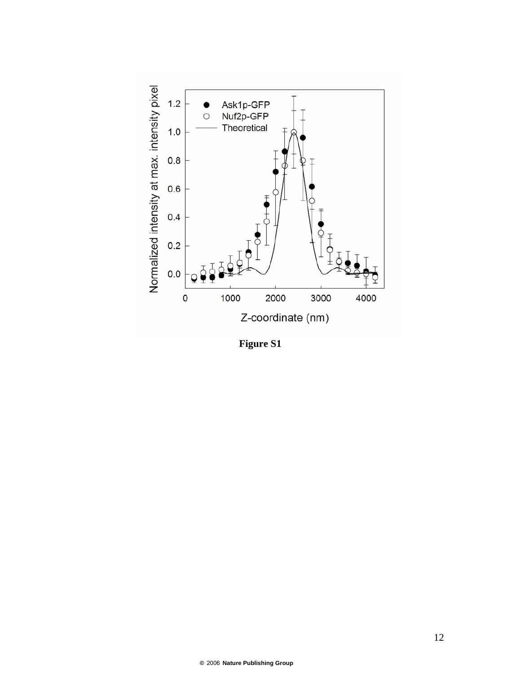

**Figure S1**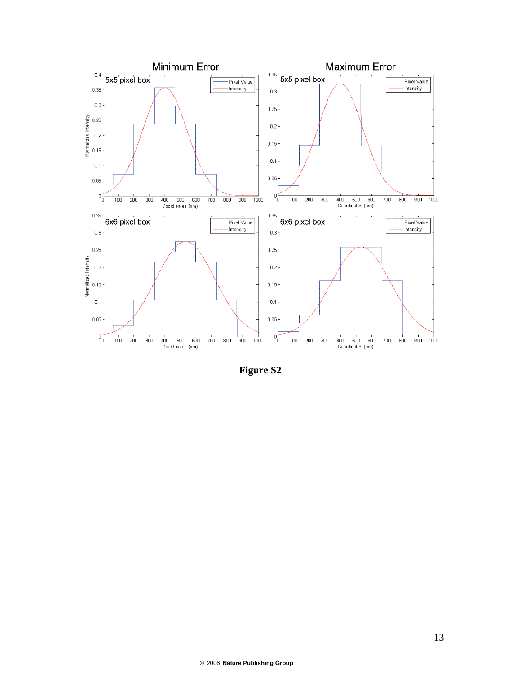

**Figure S2**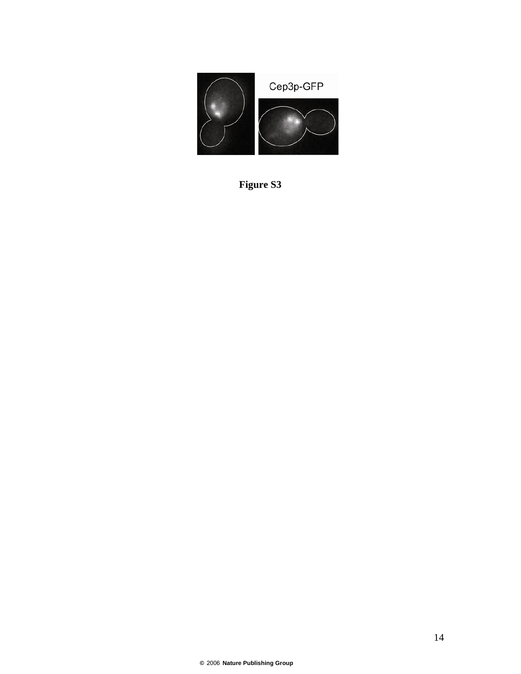

**Figure S3**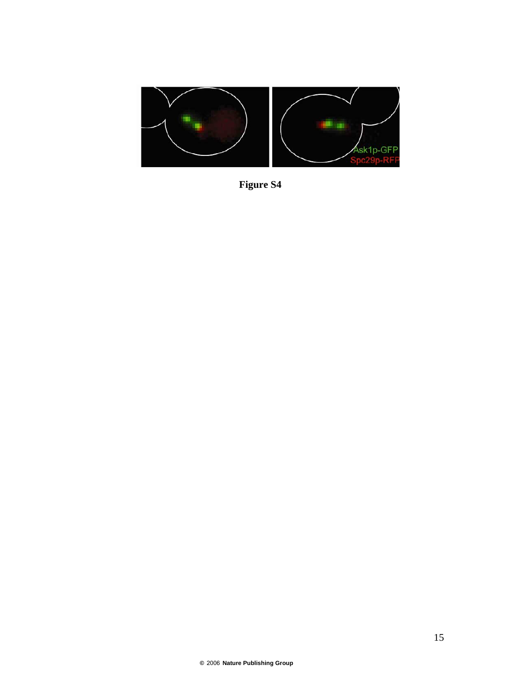

**Figure S4**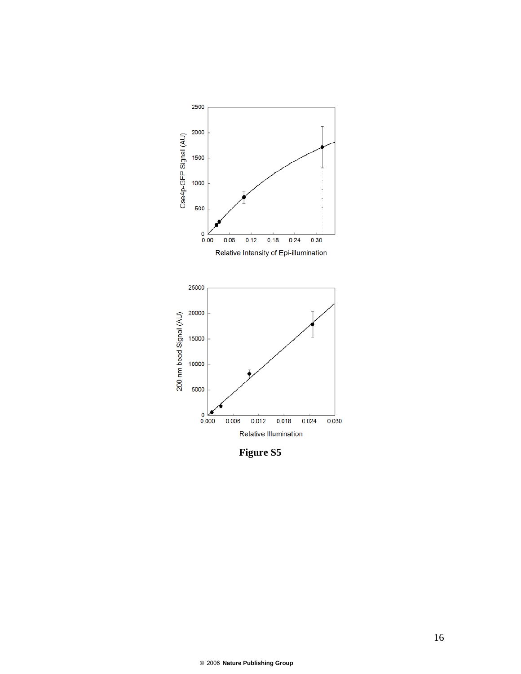

**Figure S5**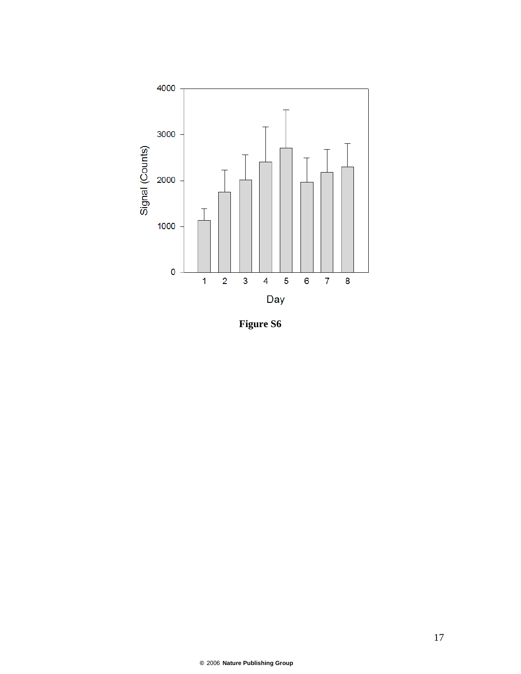

**Figure S6**